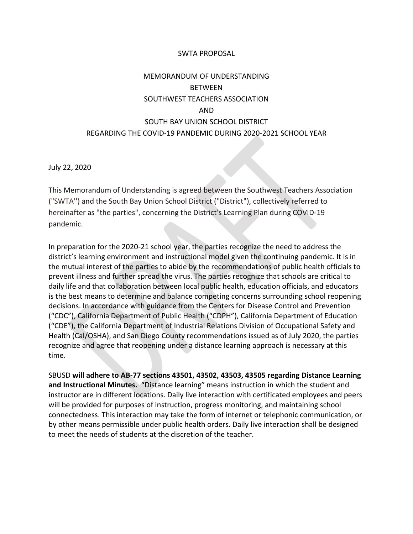#### SWTA PROPOSAL

# MEMORANDUM OF UNDERSTANDING BETWEEN SOUTHWEST TEACHERS ASSOCIATION AND SOUTH BAY UNION SCHOOL DISTRICT REGARDING THE COVID-19 PANDEMIC DURING 2020-2021 SCHOOL YEAR

July 22, 2020

This Memorandum of Understanding is agreed between the Southwest Teachers Association ("SWTA'') and the South Bay Union School District ("District"), collectively referred to hereinafter as "the parties", concerning the District's Learning Plan during COVID-19 pandemic.

In preparation for the 2020-21 school year, the parties recognize the need to address the district's learning environment and instructional model given the continuing pandemic. It is in the mutual interest of the parties to abide by the recommendations of public health officials to prevent illness and further spread the virus. The parties recognize that schools are critical to daily life and that collaboration between local public health, education officials, and educators is the best means to determine and balance competing concerns surrounding school reopening decisions. In accordance with guidance from the Centers for Disease Control and Prevention ("CDC"), California Department of Public Health ("CDPH"), California Department of Education ("CDE"), the California Department of Industrial Relations Division of Occupational Safety and Health (Cal/OSHA), and San Diego County recommendations issued as of July 2020, the parties recognize and agree that reopening under a distance learning approach is necessary at this time.

SBUSD **will adhere to AB-77 sections 43501, 43502, 43503, 43505 regarding Distance Learning and Instructional Minutes.** "Distance learning" means instruction in which the student and instructor are in different locations. Daily live interaction with certificated employees and peers will be provided for purposes of instruction, progress monitoring, and maintaining school connectedness. This interaction may take the form of internet or telephonic communication, or by other means permissible under public health orders. Daily live interaction shall be designed to meet the needs of students at the discretion of the teacher.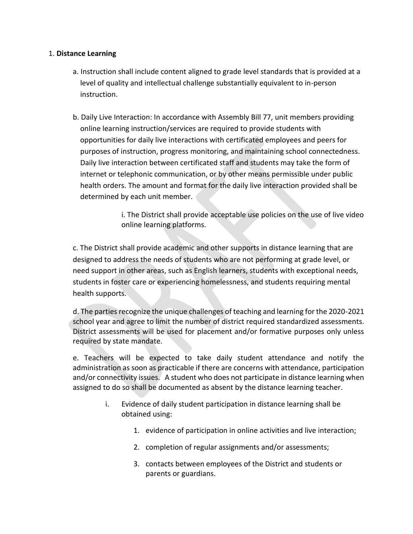### 1. **Distance Learning**

- a. Instruction shall include content aligned to grade level standards that is provided at a level of quality and intellectual challenge substantially equivalent to in-person instruction.
- b. Daily Live Interaction: In accordance with Assembly Bill 77, unit members providing online learning instruction/services are required to provide students with opportunities for daily live interactions with certificated employees and peers for purposes of instruction, progress monitoring, and maintaining school connectedness. Daily live interaction between certificated staff and students may take the form of internet or telephonic communication, or by other means permissible under public health orders. The amount and format for the daily live interaction provided shall be determined by each unit member.

i. The District shall provide acceptable use policies on the use of live video online learning platforms.

c. The District shall provide academic and other supports in distance learning that are designed to address the needs of students who are not performing at grade level, or need support in other areas, such as English learners, students with exceptional needs, students in foster care or experiencing homelessness, and students requiring mental health supports.

d. The parties recognize the unique challenges of teaching and learning for the 2020-2021 school year and agree to limit the number of district required standardized assessments. District assessments will be used for placement and/or formative purposes only unless required by state mandate.

e. Teachers will be expected to take daily student attendance and notify the administration as soon as practicable if there are concerns with attendance, participation and/or connectivity issues. A student who does not participate in distance learning when assigned to do so shall be documented as absent by the distance learning teacher.

- i. Evidence of daily student participation in distance learning shall be obtained using:
	- 1. evidence of participation in online activities and live interaction;
	- 2. completion of regular assignments and/or assessments;
	- 3. contacts between employees of the District and students or parents or guardians.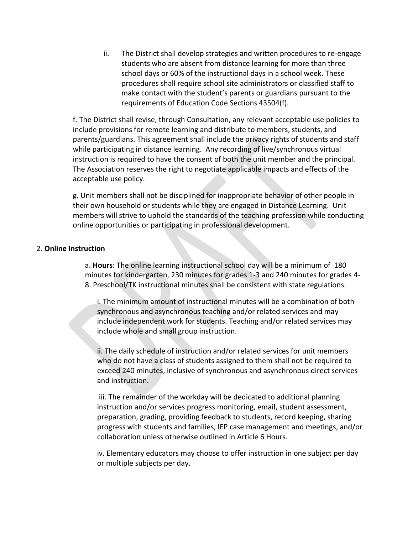ii. The District shall develop strategies and written procedures to re-engage students who are absent from distance learning for more than three school days or 60% of the instructional days in a school week. These procedures shall require school site administrators or classified staff to make contact with the student's parents or guardians pursuant to the requirements of Education Code Sections 43504(f).

f. The District shall revise, through Consultation, any relevant acceptable use policies to include provisions for remote learning and distribute to members, students, and parents/guardians. This agreement shall include the privacy rights of students and staff while participating in distance learning. Any recording of live/synchronous virtual instruction is required to have the consent of both the unit member and the principal. The Association reserves the right to negotiate applicable impacts and effects of the acceptable use policy.

g. Unit members shall not be disciplined for inappropriate behavior of other people in their own household or students while they are engaged in Distance Learning. Unit members will strive to uphold the standards of the teaching profession while conducting online opportunities or participating in professional development.

#### 2. **Online Instruction**

a. **Hours**: The online learning instructional school day will be a minimum of 180 minutes for kindergarten, 230 minutes for grades 1-3 and 240 minutes for grades 4- 8. Preschool/TK instructional minutes shall be consistent with state regulations.

i. The minimum amount of instructional minutes will be a combination of both synchronous and asynchronous teaching and/or related services and may include independent work for students. Teaching and/or related services may include whole and small group instruction.

ii. The daily schedule of instruction and/or related services for unit members who do not have a class of students assigned to them shall not be required to exceed 240 minutes, inclusive of synchronous and asynchronous direct services and instruction.

iii. The remainder of the workday will be dedicated to additional planning instruction and/or services progress monitoring, email, student assessment, preparation, grading, providing feedback to students, record keeping, sharing progress with students and families, IEP case management and meetings, and/or collaboration unless otherwise outlined in Article 6 Hours.

iv. Elementary educators may choose to offer instruction in one subject per day or multiple subjects per day.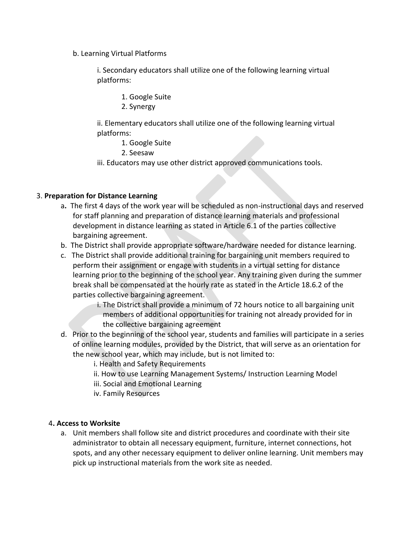b. Learning Virtual Platforms

i. Secondary educators shall utilize one of the following learning virtual platforms:

- 1. Google Suite
- 2. Synergy

ii. Elementary educators shall utilize one of the following learning virtual platforms:

- 1. Google Suite
- 2. Seesaw
- iii. Educators may use other district approved communications tools.

# 3. **Preparation for Distance Learning**

- a**.** The first 4 days of the work year will be scheduled as non-instructional days and reserved for staff planning and preparation of distance learning materials and professional development in distance learning as stated in Article 6.1 of the parties collective bargaining agreement.
- b. The District shall provide appropriate software/hardware needed for distance learning.
- c. The District shall provide additional training for bargaining unit members required to perform their assignment or engage with students in a virtual setting for distance learning prior to the beginning of the school year. Any training given during the summer break shall be compensated at the hourly rate as stated in the Article 18.6.2 of the parties collective bargaining agreement.
	- i. The District shall provide a minimum of 72 hours notice to all bargaining unit members of additional opportunities for training not already provided for in the collective bargaining agreement
- d. Prior to the beginning of the school year, students and families will participate in a series of online learning modules, provided by the District, that will serve as an orientation for the new school year, which may include, but is not limited to:
	- i. Health and Safety Requirements
	- ii. How to use Learning Management Systems/ Instruction Learning Model
	- iii. Social and Emotional Learning
	- iv. Family Resources

# 4**. Access to Worksite**

a. Unit members shall follow site and district procedures and coordinate with their site administrator to obtain all necessary equipment, furniture, internet connections, hot spots, and any other necessary equipment to deliver online learning. Unit members may pick up instructional materials from the work site as needed.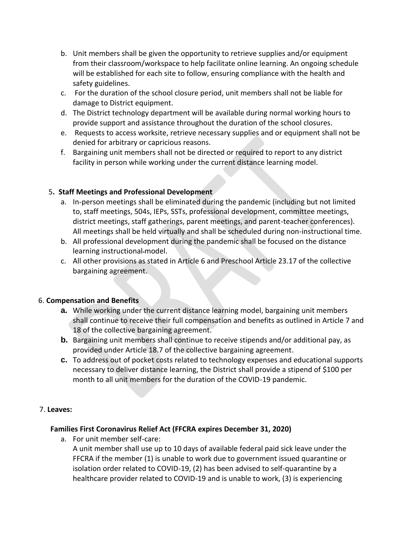- b. Unit members shall be given the opportunity to retrieve supplies and/or equipment from their classroom/workspace to help facilitate online learning. An ongoing schedule will be established for each site to follow, ensuring compliance with the health and safety guidelines.
- c. For the duration of the school closure period, unit members shall not be liable for damage to District equipment.
- d. The District technology department will be available during normal working hours to provide support and assistance throughout the duration of the school closures.
- e. Requests to access worksite, retrieve necessary supplies and or equipment shall not be denied for arbitrary or capricious reasons.
- f. Bargaining unit members shall not be directed or required to report to any district facility in person while working under the current distance learning model.

# 5**. Staff Meetings and Professional Development**

- a. In-person meetings shall be eliminated during the pandemic (including but not limited to, staff meetings, 504s, IEPs, SSTs, professional development, committee meetings, district meetings, staff gatherings, parent meetings, and parent-teacher conferences). All meetings shall be held virtually and shall be scheduled during non-instructional time.
- b. All professional development during the pandemic shall be focused on the distance learning instructional-model.
- c. All other provisions as stated in Article 6 and Preschool Article 23.17 of the collective bargaining agreement.

# 6. **Compensation and Benefits**

- **a.** While working under the current distance learning model, bargaining unit members shall continue to receive their full compensation and benefits as outlined in Article 7 and 18 of the collective bargaining agreement.
- **b.** Bargaining unit members shall continue to receive stipends and/or additional pay, as provided under Article 18.7 of the collective bargaining agreement.
- **c.** To address out of pocket costs related to technology expenses and educational supports necessary to deliver distance learning, the District shall provide a stipend of \$100 per month to all unit members for the duration of the COVID-19 pandemic.

# 7. **Leaves:**

#### **Families First Coronavirus Relief Act (FFCRA expires December 31, 2020)**

a. For unit member self-care:

A unit member shall use up to 10 days of available federal paid sick leave under the FFCRA if the member (1) is unable to work due to government issued quarantine or isolation order related to COVID-19, (2) has been advised to self-quarantine by a healthcare provider related to COVID-19 and is unable to work, (3) is experiencing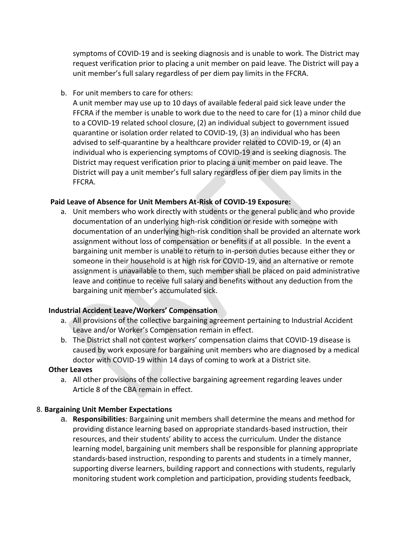symptoms of COVID-19 and is seeking diagnosis and is unable to work. The District may request verification prior to placing a unit member on paid leave. The District will pay a unit member's full salary regardless of per diem pay limits in the FFCRA.

b. For unit members to care for others:

A unit member may use up to 10 days of available federal paid sick leave under the FFCRA if the member is unable to work due to the need to care for (1) a minor child due to a COVID-19 related school closure, (2) an individual subject to government issued quarantine or isolation order related to COVID-19, (3) an individual who has been advised to self-quarantine by a healthcare provider related to COVID-19, or (4) an individual who is experiencing symptoms of COVID-19 and is seeking diagnosis. The District may request verification prior to placing a unit member on paid leave. The District will pay a unit member's full salary regardless of per diem pay limits in the FFCRA.

## **Paid Leave of Absence for Unit Members At-Risk of COVID-19 Exposure:**

a. Unit members who work directly with students or the general public and who provide documentation of an underlying high-risk condition or reside with someone with documentation of an underlying high-risk condition shall be provided an alternate work assignment without loss of compensation or benefits if at all possible. In the event a bargaining unit member is unable to return to in-person duties because either they or someone in their household is at high risk for COVID-19, and an alternative or remote assignment is unavailable to them, such member shall be placed on paid administrative leave and continue to receive full salary and benefits without any deduction from the bargaining unit member's accumulated sick.

#### **Industrial Accident Leave/Workers' Compensation**

- a. All provisions of the collective bargaining agreement pertaining to Industrial Accident Leave and/or Worker's Compensation remain in effect.
- b. The District shall not contest workers' compensation claims that COVID-19 disease is caused by work exposure for bargaining unit members who are diagnosed by a medical doctor with COVID-19 within 14 days of coming to work at a District site.

#### **Other Leaves**

a. All other provisions of the collective bargaining agreement regarding leaves under Article 8 of the CBA remain in effect.

# 8. **Bargaining Unit Member Expectations**

a. **Responsibilities**: Bargaining unit members shall determine the means and method for providing distance learning based on appropriate standards-based instruction, their resources, and their students' ability to access the curriculum. Under the distance learning model, bargaining unit members shall be responsible for planning appropriate standards-based instruction, responding to parents and students in a timely manner, supporting diverse learners, building rapport and connections with students, regularly monitoring student work completion and participation, providing students feedback,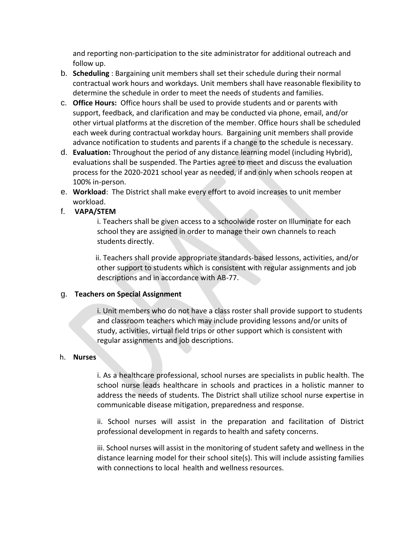and reporting non-participation to the site administrator for additional outreach and follow up.

- b. **Scheduling** : Bargaining unit members shall set their schedule during their normal contractual work hours and workdays. Unit members shall have reasonable flexibility to determine the schedule in order to meet the needs of students and families.
- c. **Office Hours:** Office hours shall be used to provide students and or parents with support, feedback, and clarification and may be conducted via phone, email, and/or other virtual platforms at the discretion of the member. Office hours shall be scheduled each week during contractual workday hours. Bargaining unit members shall provide advance notification to students and parents if a change to the schedule is necessary.
- d. **Evaluation:** Throughout the period of any distance learning model (including Hybrid), evaluations shall be suspended. The Parties agree to meet and discuss the evaluation process for the 2020-2021 school year as needed, if and only when schools reopen at 100% in-person.
- e. **Workload**: The District shall make every effort to avoid increases to unit member workload.
- f. **VAPA/STEM**

i. Teachers shall be given access to a schoolwide roster on Illuminate for each school they are assigned in order to manage their own channels to reach students directly.

 ii. Teachers shall provide appropriate standards-based lessons, activities, and/or other support to students which is consistent with regular assignments and job descriptions and in accordance with AB-77.

# g. **Teachers on Special Assignment**

i. Unit members who do not have a class roster shall provide support to students and classroom teachers which may include providing lessons and/or units of study, activities, virtual field trips or other support which is consistent with regular assignments and job descriptions.

#### h. **Nurses**

i. As a healthcare professional, school nurses are specialists in public health. The school nurse leads healthcare in schools and practices in a holistic manner to address the needs of students. The District shall utilize school nurse expertise in communicable disease mitigation, preparedness and response.

ii. School nurses will assist in the preparation and facilitation of District professional development in regards to health and safety concerns.

iii. School nurses will assist in the monitoring of student safety and wellness in the distance learning model for their school site(s). This will include assisting families with connections to local health and wellness resources.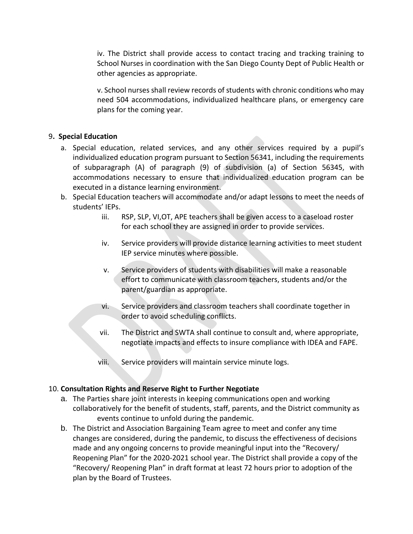iv. The District shall provide access to contact tracing and tracking training to School Nurses in coordination with the San Diego County Dept of Public Health or other agencies as appropriate.

v. School nurses shall review records of students with chronic conditions who may need 504 accommodations, individualized healthcare plans, or emergency care plans for the coming year.

## 9**. Special Education**

- a. Special education, related services, and any other services required by a pupil's individualized education program pursuant to Section 56341, including the requirements of subparagraph (A) of paragraph (9) of subdivision (a) of Section 56345, with accommodations necessary to ensure that individualized education program can be executed in a distance learning environment.
- b. Special Education teachers will accommodate and/or adapt lessons to meet the needs of students' IEPs.
	- iii. RSP, SLP, VI,OT, APE teachers shall be given access to a caseload roster for each school they are assigned in order to provide services.
	- iv. Service providers will provide distance learning activities to meet student IEP service minutes where possible.
	- v. Service providers of students with disabilities will make a reasonable effort to communicate with classroom teachers, students and/or the parent/guardian as appropriate.
	- vi. Service providers and classroom teachers shall coordinate together in order to avoid scheduling conflicts.
	- vii. The District and SWTA shall continue to consult and, where appropriate, negotiate impacts and effects to insure compliance with IDEA and FAPE.
	- viii. Service providers will maintain service minute logs.

# 10. **Consultation Rights and Reserve Right to Further Negotiate**

- a. The Parties share joint interests in keeping communications open and working collaboratively for the benefit of students, staff, parents, and the District community as events continue to unfold during the pandemic.
- b. The District and Association Bargaining Team agree to meet and confer any time changes are considered, during the pandemic, to discuss the effectiveness of decisions made and any ongoing concerns to provide meaningful input into the "Recovery/ Reopening Plan" for the 2020-2021 school year. The District shall provide a copy of the "Recovery/ Reopening Plan" in draft format at least 72 hours prior to adoption of the plan by the Board of Trustees.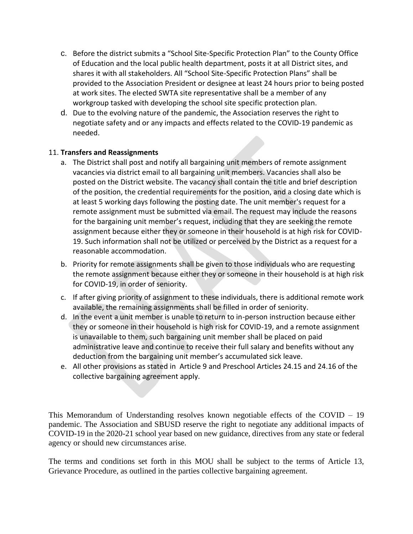- c. Before the district submits a "School Site-Specific Protection Plan" to the County Office of Education and the local public health department, posts it at all District sites, and shares it with all stakeholders. All "School Site-Specific Protection Plans" shall be provided to the Association President or designee at least 24 hours prior to being posted at work sites. The elected SWTA site representative shall be a member of any workgroup tasked with developing the school site specific protection plan.
- d. Due to the evolving nature of the pandemic, the Association reserves the right to negotiate safety and or any impacts and effects related to the COVID-19 pandemic as needed.

# 11. **Transfers and Reassignments**

- a. The District shall post and notify all bargaining unit members of remote assignment vacancies via district email to all bargaining unit members. Vacancies shall also be posted on the District website. The vacancy shall contain the title and brief description of the position, the credential requirements for the position, and a closing date which is at least 5 working days following the posting date. The unit member's request for a remote assignment must be submitted via email. The request may include the reasons for the bargaining unit member's request, including that they are seeking the remote assignment because either they or someone in their household is at high risk for COVID-19. Such information shall not be utilized or perceived by the District as a request for a reasonable accommodation.
- b. Priority for remote assignments shall be given to those individuals who are requesting the remote assignment because either they or someone in their household is at high risk for COVID-19, in order of seniority.
- c. If after giving priority of assignment to these individuals, there is additional remote work available, the remaining assignments shall be filled in order of seniority.
- d. In the event a unit member is unable to return to in-person instruction because either they or someone in their household is high risk for COVID-19, and a remote assignment is unavailable to them, such bargaining unit member shall be placed on paid administrative leave and continue to receive their full salary and benefits without any deduction from the bargaining unit member's accumulated sick leave.
- e. All other provisions as stated in Article 9 and Preschool Articles 24.15 and 24.16 of the collective bargaining agreement apply.

This Memorandum of Understanding resolves known negotiable effects of the COVID – 19 pandemic. The Association and SBUSD reserve the right to negotiate any additional impacts of COVID-19 in the 2020-21 school year based on new guidance, directives from any state or federal agency or should new circumstances arise.

The terms and conditions set forth in this MOU shall be subject to the terms of Article 13, Grievance Procedure, as outlined in the parties collective bargaining agreement.